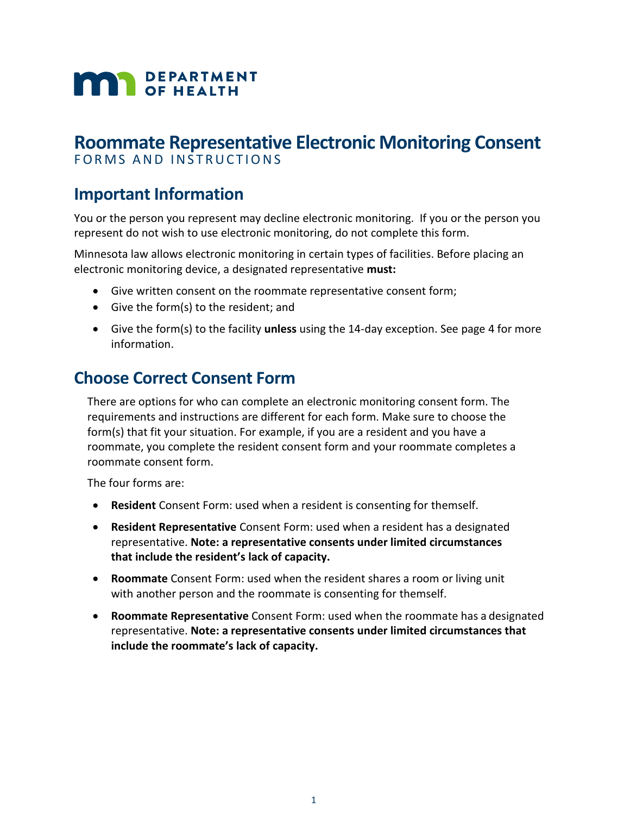# **MAN** DEPARTMENT

# **Roommate Representative Electronic Monitoring Consent**

FORMS AND INSTRUCTIONS

# **Important Information**

You or the person you represent may decline electronic monitoring. If you or the person you represent do not wish to use electronic monitoring, do not complete this form.

Minnesota law allows electronic monitoring in certain types of facilities. Before placing an electronic monitoring device, a designated representative **must:**

- Give written consent on the roommate representative consent form;
- Give the form(s) to the resident; and
- Give the form(s) to the facility **unless** using the 14-day exception. See page 4 for more information.

# **Choose Correct Consent Form**

There are options for who can complete an electronic monitoring consent form. The requirements and instructions are different for each form. Make sure to choose the form(s) that fit your situation. For example, if you are a resident and you have a roommate, you complete the resident consent form and your roommate completes a roommate consent form.

The four forms are:

- **Resident** Consent Form: used when a resident is consenting for themself.
- **Resident Representative** Consent Form: used when a resident has a designated representative. **Note: a representative consents under limited circumstances that include the resident's lack of capacity.**
- **Roommate** Consent Form: used when the resident shares a room or living unit with another person and the roommate is consenting for themself.
- **Roommate Representative** Consent Form: used when the roommate has a designated representative. **Note: a representative consents under limited circumstances that include the roommate's lack of capacity.**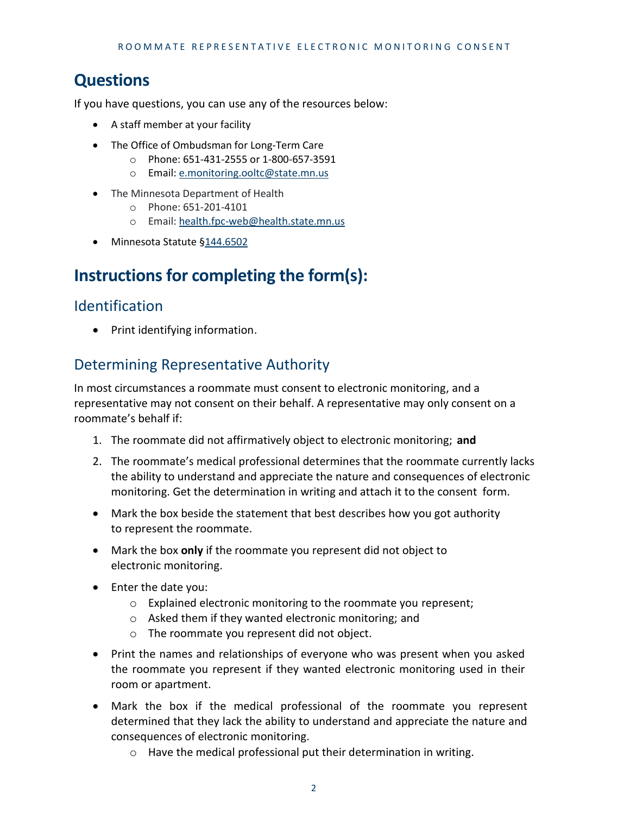# **Questions**

If you have questions, you can use any of the resources below:

- A staff member at your facility
- The Office of Ombudsman for Long-Term Care
	- o Phone: 651-431-2555 or 1-800-657-3591
	- o Email: [e.monitoring.ooltc@state.mn.us](mailto:e.monitoring.ooltc@state.mn.us)
- The Minnesota Department of Health
	- o Phone: 651-201-4101
	- o Email: [health.fpc-web@health.state.mn.us](mailto:health.fpc-web@health.state.mn.us)
- Minnesota Statute [§144.6502](https://www.revisor.mn.gov/statutes/cite/144.6502)

# **Instructions for completing the form(s):**

### Identification

• Print identifying information.

# Determining Representative Authority

In most circumstances a roommate must consent to electronic monitoring, and a representative may not consent on their behalf. A representative may only consent on a roommate's behalf if:

- 1. The roommate did not affirmatively object to electronic monitoring; **and**
- 2. The roommate's medical professional determines that the roommate currently lacks the ability to understand and appreciate the nature and consequences of electronic monitoring. Get the determination in writing and attach it to the consent form.
- Mark the box beside the statement that best describes how you got authority to represent the roommate.
- Mark the box **only** if the roommate you represent did not object to electronic monitoring.
- Enter the date you:
	- o Explained electronic monitoring to the roommate you represent;
	- o Asked them if they wanted electronic monitoring; and
	- o The roommate you represent did not object.
- Print the names and relationships of everyone who was present when you asked the roommate you represent if they wanted electronic monitoring used in their room or apartment.
- Mark the box if the medical professional of the roommate you represent determined that they lack the ability to understand and appreciate the nature and consequences of electronic monitoring.
	- o Have the medical professional put their determination in writing.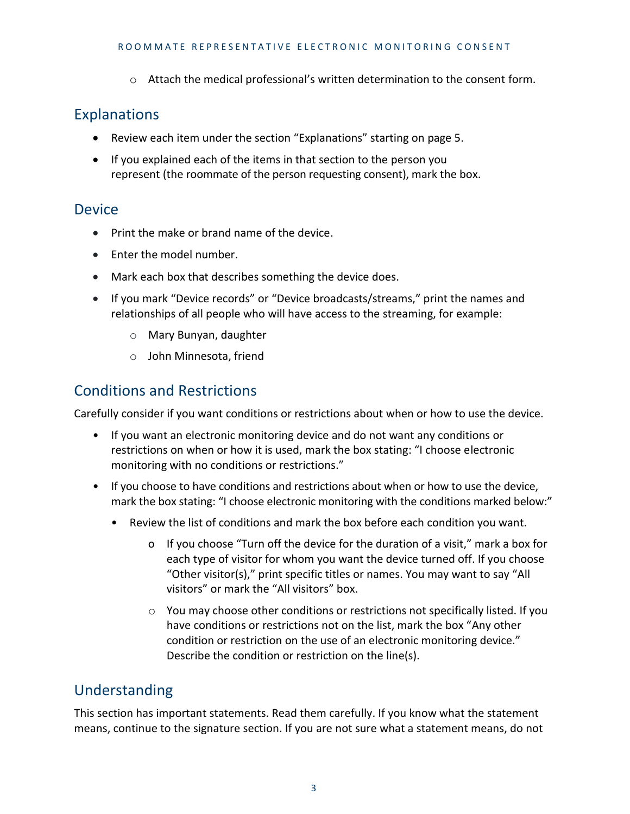o Attach the medical professional's written determination to the consent form.

# Explanations

- Review each item under the section "Explanations" starting on page 5.
- If you explained each of the items in that section to the person you represent (the roommate of the person requesting consent), mark the box.

# Device

- Print the make or brand name of the device.
- Enter the model number.
- Mark each box that describes something the device does.
- If you mark "Device records" or "Device broadcasts/streams," print the names and relationships of all people who will have access to the streaming, for example:
	- o Mary Bunyan, daughter
	- o John Minnesota, friend

# Conditions and Restrictions

Carefully consider if you want conditions or restrictions about when or how to use the device.

- If you want an electronic monitoring device and do not want any conditions or restrictions on when or how it is used, mark the box stating: "I choose electronic monitoring with no conditions or restrictions."
- If you choose to have conditions and restrictions about when or how to use the device, mark the box stating: "I choose electronic monitoring with the conditions marked below:"
	- Review the list of conditions and mark the box before each condition you want.
		- o If you choose "Turn off the device for the duration of a visit," mark a box for each type of visitor for whom you want the device turned off. If you choose "Other visitor(s)," print specific titles or names. You may want to say "All visitors" or mark the "All visitors" box.
		- o You may choose other conditions or restrictions not specifically listed. If you have conditions or restrictions not on the list, mark the box "Any other condition or restriction on the use of an electronic monitoring device." Describe the condition or restriction on the line(s).

# Understanding

This section has important statements. Read them carefully. If you know what the statement means, continue to the signature section. If you are not sure what a statement means, do not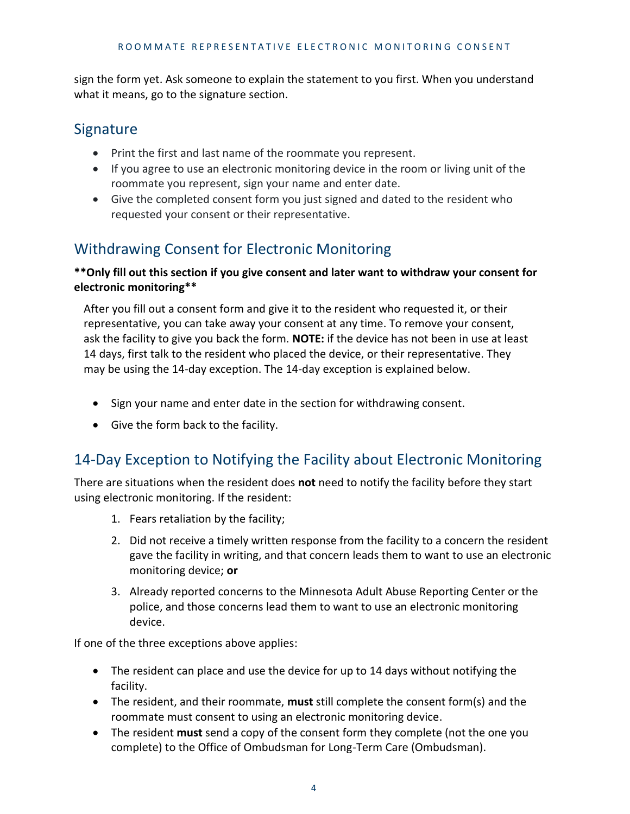sign the form yet. Ask someone to explain the statement to you first. When you understand what it means, go to the signature section.

# **Signature**

- Print the first and last name of the roommate you represent.
- If you agree to use an electronic monitoring device in the room or living unit of the roommate you represent, sign your name and enter date.
- Give the completed consent form you just signed and dated to the resident who requested your consent or their representative.

# Withdrawing Consent for Electronic Monitoring

#### **\*\*Only fill out this section if you give consent and later want to withdraw your consent for electronic monitoring\*\***

After you fill out a consent form and give it to the resident who requested it, or their representative, you can take away your consent at any time. To remove your consent, ask the facility to give you back the form. **NOTE:** if the device has not been in use at least 14 days, first talk to the resident who placed the device, or their representative. They may be using the 14-day exception. The 14-day exception is explained below.

- Sign your name and enter date in the section for withdrawing consent.
- Give the form back to the facility.

# 14-Day Exception to Notifying the Facility about Electronic Monitoring

There are situations when the resident does **not** need to notify the facility before they start using electronic monitoring. If the resident:

- 1. Fears retaliation by the facility;
- 2. Did not receive a timely written response from the facility to a concern the resident gave the facility in writing, and that concern leads them to want to use an electronic monitoring device; **or**
- 3. Already reported concerns to the Minnesota Adult Abuse Reporting Center or the police, and those concerns lead them to want to use an electronic monitoring device.

If one of the three exceptions above applies:

- The resident can place and use the device for up to 14 days without notifying the facility.
- The resident, and their roommate, **must** still complete the consent form(s) and the roommate must consent to using an electronic monitoring device.
- The resident **must** send a copy of the consent form they complete (not the one you complete) to the Office of Ombudsman for Long-Term Care (Ombudsman).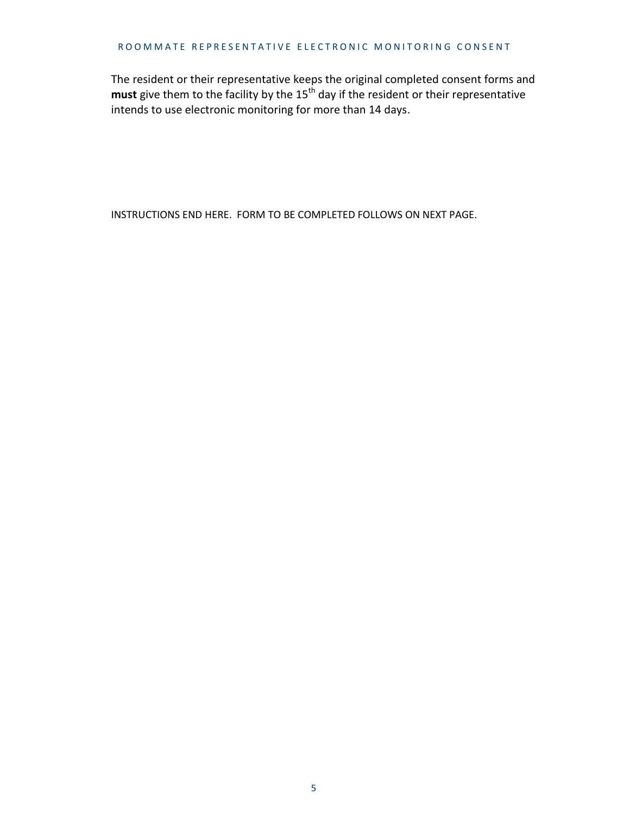#### ROOMMATE REPRESENTATIVE ELECTRONIC MONITORING CONSENT

The resident or their representative keeps the original completed consent forms and must give them to the facility by the 15<sup>th</sup> day if the resident or their representative intends to use electronic monitoring for more than 14 days.

INSTRUCTIONS END HERE. FORM TO BE COMPLETED FOLLOWS ON NEXT PAGE.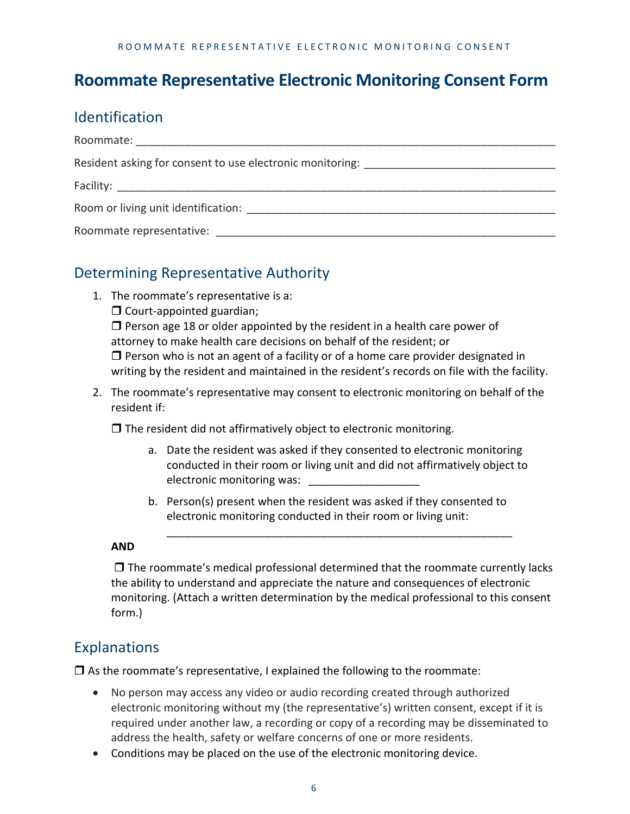# **Roommate Representative Electronic Monitoring Consent Form**

# Identification

| Resident asking for consent to use electronic monitoring: _______________________ |
|-----------------------------------------------------------------------------------|
|                                                                                   |
|                                                                                   |
| Roommate representative:                                                          |

# Determining Representative Authority

- 1. The roommate's representative is a:
	- $\Box$  Court-appointed guardian;

 $\Box$  Person age 18 or older appointed by the resident in a health care power of attorney to make health care decisions on behalf of the resident; or  $\Box$  Person who is not an agent of a facility or of a home care provider designated in writing by the resident and maintained in the resident's records on file with the facility.

2. The roommate's representative may consent to electronic monitoring on behalf of the resident if:

 $\Box$  The resident did not affirmatively object to electronic monitoring.

a. Date the resident was asked if they consented to electronic monitoring conducted in their room or living unit and did not affirmatively object to electronic monitoring was:

\_\_\_\_\_\_\_\_\_\_\_\_\_\_\_\_\_\_\_\_\_\_\_\_\_\_\_\_\_\_\_\_\_\_\_\_\_\_\_\_\_\_\_\_\_\_\_\_\_\_\_\_\_\_\_\_

b. Person(s) present when the resident was asked if they consented to electronic monitoring conducted in their room or living unit:

#### **AND**

 $\Box$  The roommate's medical professional determined that the roommate currently lacks the ability to understand and appreciate the nature and consequences of electronic monitoring. (Attach a written determination by the medical professional to this consent form.)

# Explanations

 $\Box$  As the roommate's representative, I explained the following to the roommate:

- No person may access any video or audio recording created through authorized electronic monitoring without my (the representative's) written consent, except if it is required under another law, a recording or copy of a recording may be disseminated to address the health, safety or welfare concerns of one or more residents.
- Conditions may be placed on the use of the electronic monitoring device.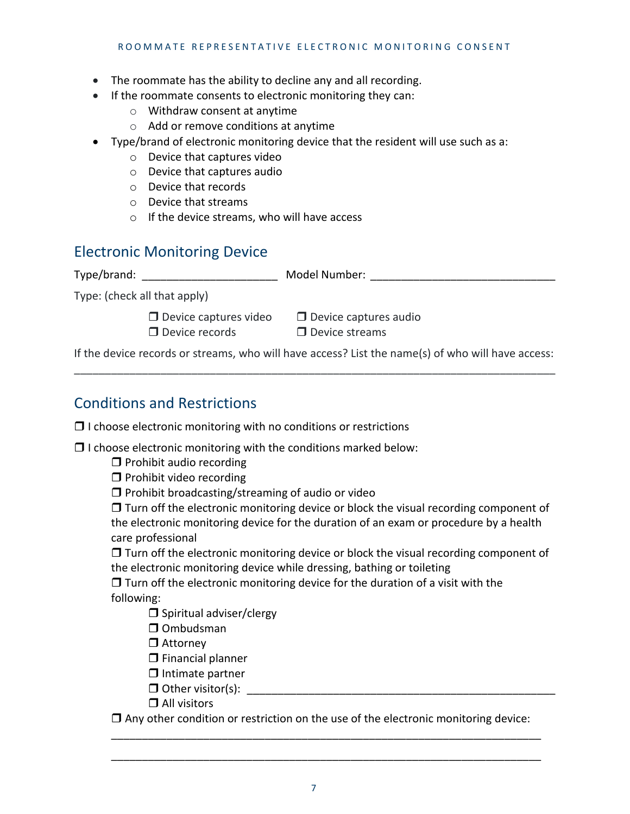- The roommate has the ability to decline any and all recording.
- If the roommate consents to electronic monitoring they can:
	- o Withdraw consent at anytime
	- o Add or remove conditions at anytime
- Type/brand of electronic monitoring device that the resident will use such as a:
	- o Device that captures video
	- o Device that captures audio
	- o Device that records
	- o Device that streams
	- o If the device streams, who will have access

### Electronic Monitoring Device

Type/brand: \_\_\_\_\_\_\_\_\_\_\_\_\_\_\_\_\_\_\_\_\_\_\_\_\_\_\_\_ Model Number: \_\_\_\_\_\_\_\_\_\_\_\_\_\_\_\_\_\_\_\_\_\_\_\_\_\_

Type: (check all that apply)

 $\Box$  Device records  $\Box$  Device streams

 $\Box$  Device captures video  $\Box$  Device captures audio

If the device records or streams, who will have access? List the name(s) of who will have access: \_\_\_\_\_\_\_\_\_\_\_\_\_\_\_\_\_\_\_\_\_\_\_\_\_\_\_\_\_\_\_\_\_\_\_\_\_\_\_\_\_\_\_\_\_\_\_\_\_\_\_\_\_\_\_\_\_\_\_\_\_\_\_\_\_\_\_\_\_\_\_\_\_\_\_\_\_\_

# Conditions and Restrictions

 $\Box$  I choose electronic monitoring with no conditions or restrictions

 $\Box$  I choose electronic monitoring with the conditions marked below:

 $\Box$  Prohibit audio recording

 $\Box$  Prohibit video recording

 $\Box$  Prohibit broadcasting/streaming of audio or video

 $\Box$  Turn off the electronic monitoring device or block the visual recording component of the electronic monitoring device for the duration of an exam or procedure by a health care professional

 $\Box$  Turn off the electronic monitoring device or block the visual recording component of the electronic monitoring device while dressing, bathing or toileting

 $\Box$  Turn off the electronic monitoring device for the duration of a visit with the following:

 $\square$  Spiritual adviser/clergy

 $\Box$  Ombudsman

□ Attorney

 $\Box$  Financial planner

- $\Box$  Intimate partner
- $\Box$  Other visitor(s):
- □ All visitors

 $\Box$  Any other condition or restriction on the use of the electronic monitoring device: \_\_\_\_\_\_\_\_\_\_\_\_\_\_\_\_\_\_\_\_\_\_\_\_\_\_\_\_\_\_\_\_\_\_\_\_\_\_\_\_\_\_\_\_\_\_\_\_\_\_\_\_\_\_\_\_\_\_\_\_\_\_\_\_\_\_\_\_\_\_

\_\_\_\_\_\_\_\_\_\_\_\_\_\_\_\_\_\_\_\_\_\_\_\_\_\_\_\_\_\_\_\_\_\_\_\_\_\_\_\_\_\_\_\_\_\_\_\_\_\_\_\_\_\_\_\_\_\_\_\_\_\_\_\_\_\_\_\_\_\_